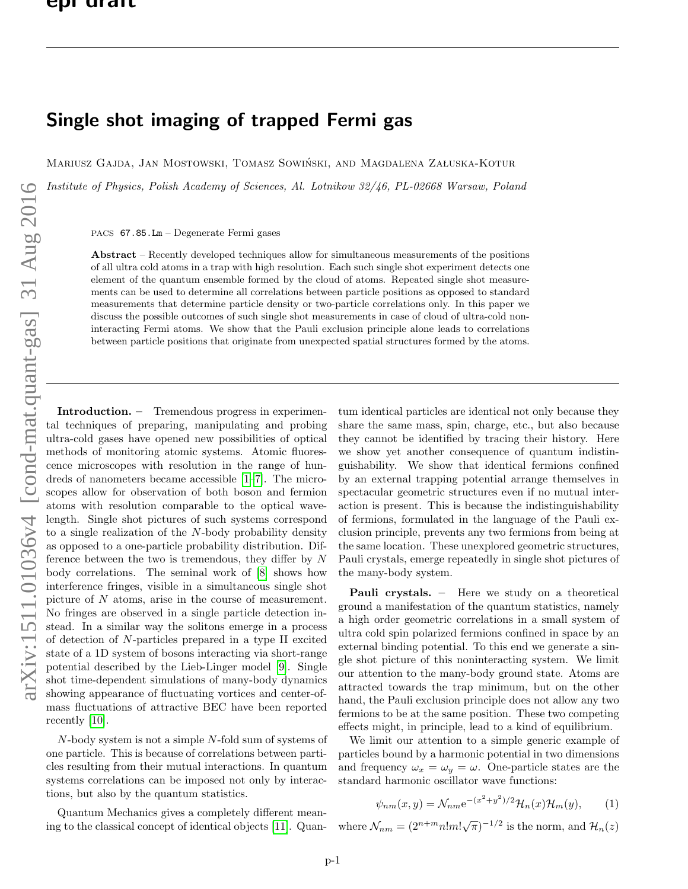## Single shot imaging of trapped Fermi gas

Mariusz Gajda, Jan Mostowski, Tomasz Sowiński, and Magdalena Załuska-Kotur

Institute of Physics, Polish Academy of Sciences, Al. Lotnikow 32/46, PL-02668 Warsaw, Poland

PACS 67.85.Lm – Degenerate Fermi gases

Abstract – Recently developed techniques allow for simultaneous measurements of the positions of all ultra cold atoms in a trap with high resolution. Each such single shot experiment detects one element of the quantum ensemble formed by the cloud of atoms. Repeated single shot measurements can be used to determine all correlations between particle positions as opposed to standard measurements that determine particle density or two-particle correlations only. In this paper we discuss the possible outcomes of such single shot measurements in case of cloud of ultra-cold noninteracting Fermi atoms. We show that the Pauli exclusion principle alone leads to correlations between particle positions that originate from unexpected spatial structures formed by the atoms.

Introduction. – Tremendous progress in experimental techniques of preparing, manipulating and probing ultra-cold gases have opened new possibilities of optical methods of monitoring atomic systems. Atomic fluorescence microscopes with resolution in the range of hundreds of nanometers became accessible [\[1–](#page-6-0)[7\]](#page-6-1). The microscopes allow for observation of both boson and fermion atoms with resolution comparable to the optical wavelength. Single shot pictures of such systems correspond to a single realization of the N-body probability density as opposed to a one-particle probability distribution. Difference between the two is tremendous, they differ by N body correlations. The seminal work of [\[8\]](#page-6-2) shows how interference fringes, visible in a simultaneous single shot picture of N atoms, arise in the course of measurement. No fringes are observed in a single particle detection instead. In a similar way the solitons emerge in a process of detection of N-particles prepared in a type II excited state of a 1D system of bosons interacting via short-range potential described by the Lieb-Linger model [\[9\]](#page-6-3). Single shot time-dependent simulations of many-body dynamics showing appearance of fluctuating vortices and center-ofmass fluctuations of attractive BEC have been reported recently [\[10\]](#page-6-4).

N-body system is not a simple N-fold sum of systems of one particle. This is because of correlations between particles resulting from their mutual interactions. In quantum systems correlations can be imposed not only by interactions, but also by the quantum statistics.

Quantum Mechanics gives a completely different meaning to the classical concept of identical objects [\[11\]](#page-6-5). Quantum identical particles are identical not only because they share the same mass, spin, charge, etc., but also because they cannot be identified by tracing their history. Here we show yet another consequence of quantum indistinguishability. We show that identical fermions confined by an external trapping potential arrange themselves in spectacular geometric structures even if no mutual interaction is present. This is because the indistinguishability of fermions, formulated in the language of the Pauli exclusion principle, prevents any two fermions from being at the same location. These unexplored geometric structures, Pauli crystals, emerge repeatedly in single shot pictures of the many-body system.

Pauli crystals. - Here we study on a theoretical ground a manifestation of the quantum statistics, namely a high order geometric correlations in a small system of ultra cold spin polarized fermions confined in space by an external binding potential. To this end we generate a single shot picture of this noninteracting system. We limit our attention to the many-body ground state. Atoms are attracted towards the trap minimum, but on the other hand, the Pauli exclusion principle does not allow any two fermions to be at the same position. These two competing effects might, in principle, lead to a kind of equilibrium.

We limit our attention to a simple generic example of particles bound by a harmonic potential in two dimensions and frequency  $\omega_x = \omega_y = \omega$ . One-particle states are the standard harmonic oscillator wave functions:

$$
\psi_{nm}(x,y) = \mathcal{N}_{nm} e^{-(x^2+y^2)/2} \mathcal{H}_n(x) \mathcal{H}_m(y), \qquad (1)
$$

where  $\mathcal{N}_{nm} = (2^{n+m} n! m! \sqrt{\pi})^{-1/2}$  is the norm, and  $\mathcal{H}_n(z)$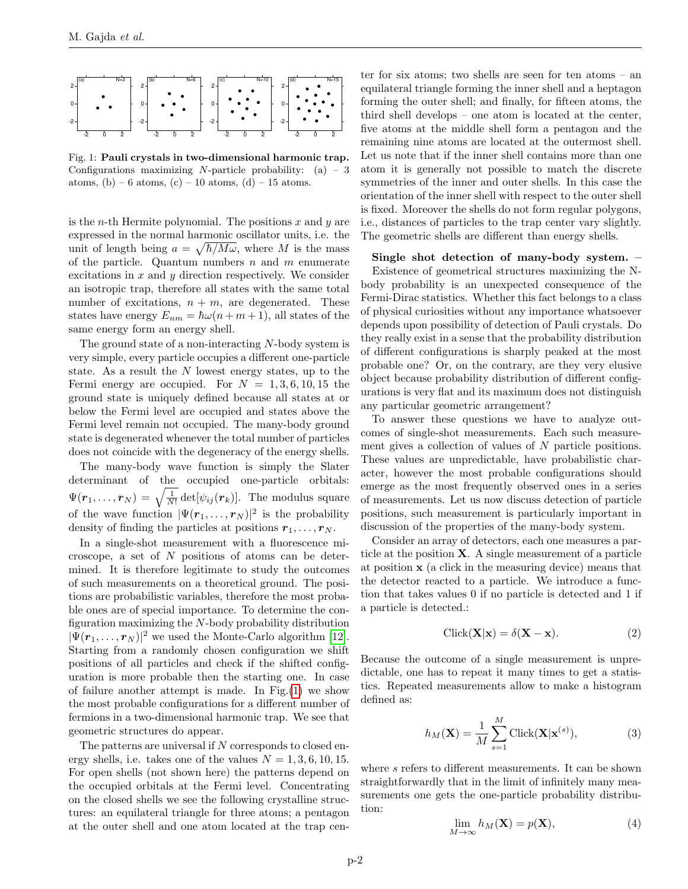

<span id="page-1-0"></span>Fig. 1: Pauli crystals in two-dimensional harmonic trap. Configurations maximizing N-particle probability:  $(a) - 3$ atoms, (b) – 6 atoms, (c) – 10 atoms, (d) – 15 atoms.

is the *n*-th Hermite polynomial. The positions  $x$  and  $y$  are expressed in the normal harmonic oscillator units, i.e. the unit of length being  $a = \sqrt{\hbar/M\omega}$ , where M is the mass of the particle. Quantum numbers  $n$  and  $m$  enumerate excitations in  $x$  and  $y$  direction respectively. We consider an isotropic trap, therefore all states with the same total number of excitations,  $n + m$ , are degenerated. These states have energy  $E_{nm} = \hbar \omega (n + m + 1)$ , all states of the same energy form an energy shell.

The ground state of a non-interacting N-body system is very simple, every particle occupies a different one-particle state. As a result the N lowest energy states, up to the Fermi energy are occupied. For  $N = 1, 3, 6, 10, 15$  the ground state is uniquely defined because all states at or below the Fermi level are occupied and states above the Fermi level remain not occupied. The many-body ground state is degenerated whenever the total number of particles does not coincide with the degeneracy of the energy shells.

The many-body wave function is simply the Slater determinant of the occupied one-particle orbitals:  $\Psi({\bm r}_1,\ldots,{\bm r}_N)=\sqrt{\frac{1}{N!}}\det[\psi_{ij}({\bm r}_k)].$  The modulus square of the wave function  $|\Psi(\mathbf{r}_1,\ldots,\mathbf{r}_N)|^2$  is the probability density of finding the particles at positions  $r_1, \ldots, r_N$ .

In a single-shot measurement with a fluorescence microscope, a set of N positions of atoms can be determined. It is therefore legitimate to study the outcomes of such measurements on a theoretical ground. The positions are probabilistic variables, therefore the most probable ones are of special importance. To determine the configuration maximizing the N-body probability distribution  $|\Psi(\mathbf{r}_1,\ldots,\mathbf{r}_N)|^2$  we used the Monte-Carlo algorithm [\[12\]](#page-6-6). Starting from a randomly chosen configuration we shift positions of all particles and check if the shifted configuration is more probable then the starting one. In case of failure another attempt is made. In Fig.[\(1\)](#page-1-0) we show the most probable configurations for a different number of fermions in a two-dimensional harmonic trap. We see that geometric structures do appear.

The patterns are universal if  $N$  corresponds to closed energy shells, i.e. takes one of the values  $N = 1, 3, 6, 10, 15$ . For open shells (not shown here) the patterns depend on the occupied orbitals at the Fermi level. Concentrating on the closed shells we see the following crystalline structures: an equilateral triangle for three atoms; a pentagon at the outer shell and one atom located at the trap center for six atoms; two shells are seen for ten atoms – an equilateral triangle forming the inner shell and a heptagon forming the outer shell; and finally, for fifteen atoms, the third shell develops – one atom is located at the center, five atoms at the middle shell form a pentagon and the remaining nine atoms are located at the outermost shell. Let us note that if the inner shell contains more than one atom it is generally not possible to match the discrete symmetries of the inner and outer shells. In this case the orientation of the inner shell with respect to the outer shell is fixed. Moreover the shells do not form regular polygons, i.e., distances of particles to the trap center vary slightly. The geometric shells are different than energy shells.

## Single shot detection of many-body system. –

Existence of geometrical structures maximizing the Nbody probability is an unexpected consequence of the Fermi-Dirac statistics. Whether this fact belongs to a class of physical curiosities without any importance whatsoever depends upon possibility of detection of Pauli crystals. Do they really exist in a sense that the probability distribution of different configurations is sharply peaked at the most probable one? Or, on the contrary, are they very elusive object because probability distribution of different configurations is very flat and its maximum does not distinguish any particular geometric arrangement?

To answer these questions we have to analyze outcomes of single-shot measurements. Each such measurement gives a collection of values of N particle positions. These values are unpredictable, have probabilistic character, however the most probable configurations should emerge as the most frequently observed ones in a series of measurements. Let us now discuss detection of particle positions, such measurement is particularly important in discussion of the properties of the many-body system.

Consider an array of detectors, each one measures a particle at the position  $X$ . A single measurement of a particle at position x (a click in the measuring device) means that the detector reacted to a particle. We introduce a function that takes values 0 if no particle is detected and 1 if a particle is detected.:

$$
Click(\mathbf{X}|\mathbf{x}) = \delta(\mathbf{X} - \mathbf{x}).
$$
\n(2)

Because the outcome of a single measurement is unpredictable, one has to repeat it many times to get a statistics. Repeated measurements allow to make a histogram defined as:

$$
h_M(\mathbf{X}) = \frac{1}{M} \sum_{s=1}^{M} \text{Click}(\mathbf{X}|\mathbf{x}^{(s)}),
$$
 (3)

where s refers to different measurements. It can be shown straightforwardly that in the limit of infinitely many measurements one gets the one-particle probability distribution:

$$
\lim_{M \to \infty} h_M(\mathbf{X}) = p(\mathbf{X}),\tag{4}
$$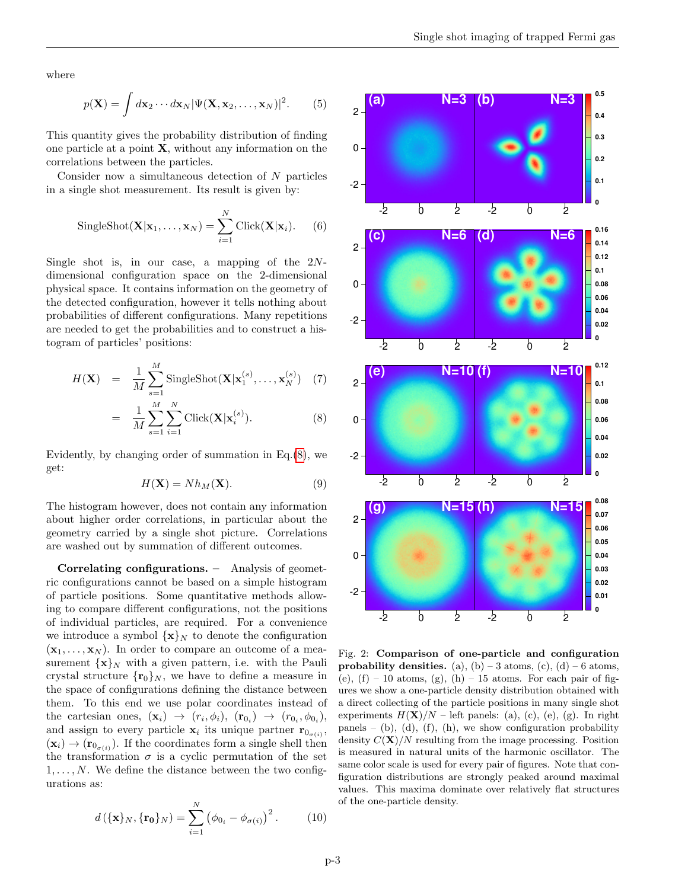where

$$
p(\mathbf{X}) = \int d\mathbf{x}_2 \cdots d\mathbf{x}_N |\Psi(\mathbf{X}, \mathbf{x}_2, \dots, \mathbf{x}_N)|^2.
$$
 (5)

This quantity gives the probability distribution of finding one particle at a point X, without any information on the correlations between the particles.

Consider now a simultaneous detection of N particles in a single shot measurement. Its result is given by:

SingleShort
$$
(\mathbf{X}|\mathbf{x}_1,\ldots,\mathbf{x}_N)
$$
 =  $\sum_{i=1}^N$ Click $(\mathbf{X}|\mathbf{x}_i)$ . (6)

Single shot is, in our case, a mapping of the  $2N$ dimensional configuration space on the 2-dimensional physical space. It contains information on the geometry of the detected configuration, however it tells nothing about probabilities of different configurations. Many repetitions are needed to get the probabilities and to construct a histogram of particles' positions:

<span id="page-2-0"></span>
$$
H(\mathbf{X}) = \frac{1}{M} \sum_{s=1}^{M} \text{SingleShot}(\mathbf{X}|\mathbf{x}_1^{(s)}, \dots, \mathbf{x}_N^{(s)}) \quad (7)
$$

$$
= \frac{1}{M} \sum_{s=1}^{M} \sum_{i=1}^{N} \text{Click}(\mathbf{X}|\mathbf{x}_i^{(s)}).
$$
 (8)

Evidently, by changing order of summation in Eq.[\(8\)](#page-2-0), we get:

$$
H(\mathbf{X}) = N h_M(\mathbf{X}).\tag{9}
$$

The histogram however, does not contain any information about higher order correlations, in particular about the geometry carried by a single shot picture. Correlations are washed out by summation of different outcomes.

Correlating configurations. – Analysis of geometric configurations cannot be based on a simple histogram of particle positions. Some quantitative methods allowing to compare different configurations, not the positions of individual particles, are required. For a convenience we introduce a symbol  $\{x\}_N$  to denote the configuration  $(\mathbf{x}_1, \ldots, \mathbf{x}_N)$ . In order to compare an outcome of a measurement  $\{x\}_N$  with a given pattern, i.e. with the Pauli crystal structure  $\{r_0\}_N$ , we have to define a measure in the space of configurations defining the distance between them. To this end we use polar coordinates instead of the cartesian ones,  $(\mathbf{x}_i) \rightarrow (r_i, \phi_i)$ ,  $(\mathbf{r}_{0_i}) \rightarrow (r_{0_i}, \phi_{0_i})$ , and assign to every particle  $\mathbf{x}_i$  its unique partner  $\mathbf{r}_{0_{\sigma(i)}},$  $(\mathbf{x}_i) \to (\mathbf{r}_{0_{\sigma(i)}})$ . If the coordinates form a single shell then the transformation  $\sigma$  is a cyclic permutation of the set  $1, \ldots, N$ . We define the distance between the two configurations as:

$$
d(\{\mathbf{x}\}_N, \{\mathbf{r_0}\}_N) = \sum_{i=1}^N (\phi_{0_i} - \phi_{\sigma(i)})^2.
$$
 (10)



<span id="page-2-1"></span>Fig. 2: Comparison of one-particle and configuration probability densities. (a), (b) – 3 atoms, (c), (d) – 6 atoms, (e),  $(f) - 10$  atoms,  $(g)$ ,  $(h) - 15$  atoms. For each pair of figures we show a one-particle density distribution obtained with a direct collecting of the particle positions in many single shot experiments  $H(\mathbf{X})/N$  – left panels: (a), (c), (e), (g). In right panels – (b), (d), (f), (h), we show configuration probability density  $C(\mathbf{X})/N$  resulting from the image processing. Position is measured in natural units of the harmonic oscillator. The same color scale is used for every pair of figures. Note that configuration distributions are strongly peaked around maximal values. This maxima dominate over relatively flat structures of the one-particle density.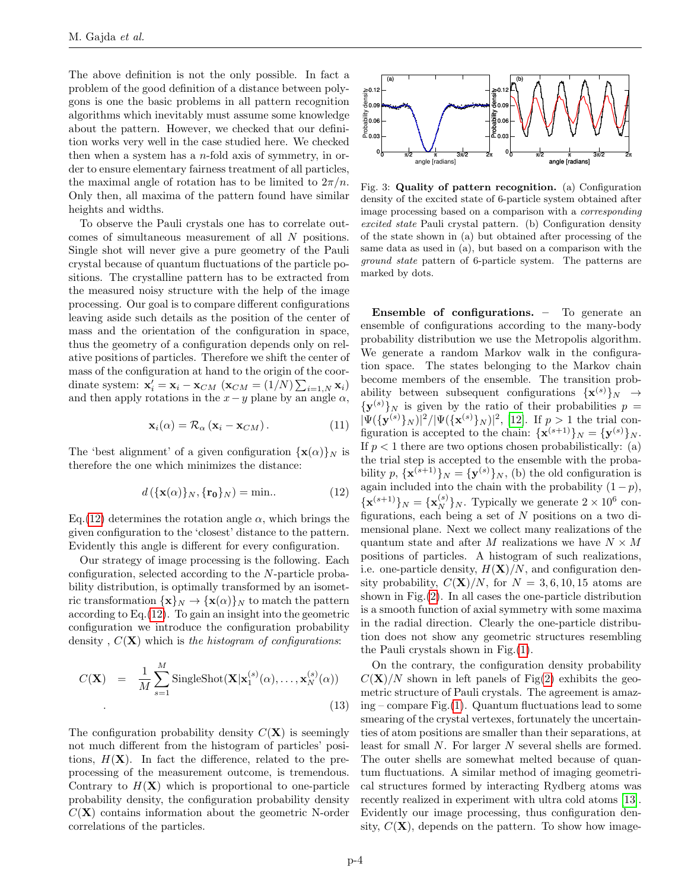The above definition is not the only possible. In fact a problem of the good definition of a distance between polygons is one the basic problems in all pattern recognition algorithms which inevitably must assume some knowledge about the pattern. However, we checked that our definition works very well in the case studied here. We checked then when a system has a  $n$ -fold axis of symmetry, in order to ensure elementary fairness treatment of all particles, the maximal angle of rotation has to be limited to  $2\pi/n$ . Only then, all maxima of the pattern found have similar heights and widths.

To observe the Pauli crystals one has to correlate outcomes of simultaneous measurement of all N positions. Single shot will never give a pure geometry of the Pauli crystal because of quantum fluctuations of the particle positions. The crystalline pattern has to be extracted from the measured noisy structure with the help of the image processing. Our goal is to compare different configurations leaving aside such details as the position of the center of mass and the orientation of the configuration in space, thus the geometry of a configuration depends only on relative positions of particles. Therefore we shift the center of mass of the configuration at hand to the origin of the coordinate system:  $\mathbf{x}'_i = \mathbf{x}_i - \mathbf{x}_{CM}$  ( $\mathbf{x}_{CM} = (1/N) \sum_{i=1,N} \mathbf{x}_i$ ) and then apply rotations in the  $x-y$  plane by an angle  $\alpha$ ,

$$
\mathbf{x}_{i}(\alpha) = \mathcal{R}_{\alpha} \left( \mathbf{x}_{i} - \mathbf{x}_{CM} \right). \tag{11}
$$

The 'best alignment' of a given configuration  $\{x(\alpha)\}\$ N is therefore the one which minimizes the distance:

<span id="page-3-0"></span>
$$
d\left(\{\mathbf{x}(\alpha)\}_N, \{\mathbf{r_0}\}_N\right) = \min. \tag{12}
$$

Eq.[\(12\)](#page-3-0) determines the rotation angle  $\alpha$ , which brings the given configuration to the 'closest' distance to the pattern. Evidently this angle is different for every configuration.

Our strategy of image processing is the following. Each configuration, selected according to the N-particle probability distribution, is optimally transformed by an isometric transformation  $\{x\}_N \to \{x(\alpha)\}_N$  to match the pattern according to  $Eq.(12)$  $Eq.(12)$ . To gain an insight into the geometric configuration we introduce the configuration probability density,  $C(\mathbf{X})$  which is the histogram of configurations:

$$
C(\mathbf{X}) = \frac{1}{M} \sum_{s=1}^{M} \text{SinglePhot}(\mathbf{X}|\mathbf{x}_1^{(s)}(\alpha), \dots, \mathbf{x}_N^{(s)}(\alpha))
$$
\n(13)

The configuration probability density  $C(X)$  is seemingly not much different from the histogram of particles' positions,  $H(\mathbf{X})$ . In fact the difference, related to the preprocessing of the measurement outcome, is tremendous. Contrary to  $H(\mathbf{X})$  which is proportional to one-particle probability density, the configuration probability density  $C(X)$  contains information about the geometric N-order correlations of the particles.



<span id="page-3-1"></span>Fig. 3: Quality of pattern recognition. (a) Configuration density of the excited state of 6-particle system obtained after image processing based on a comparison with a corresponding excited state Pauli crystal pattern. (b) Configuration density of the state shown in (a) but obtained after processing of the same data as used in (a), but based on a comparison with the ground state pattern of 6-particle system. The patterns are marked by dots.

Ensemble of configurations. – To generate an ensemble of configurations according to the many-body probability distribution we use the Metropolis algorithm. We generate a random Markov walk in the configuration space. The states belonging to the Markov chain become members of the ensemble. The transition probability between subsequent configurations  $\{x^{(s)}\}_N \rightarrow$  ${\mathbf y}^{(s)}\}_N$  is given by the ratio of their probabilities  $p=$  $|\Psi(\{\mathbf{y}^{(s)}\}_N)|^2/|\Psi(\{\mathbf{x}^{(s)}\}_N)|^2$ , [\[12\]](#page-6-6). If  $p > 1$  the trial configuration is accepted to the chain:  $\{ \mathbf{x}^{(s+1)} \}_N = \{ \mathbf{y}^{(s)} \}_N$ . If  $p < 1$  there are two options chosen probabilistically: (a) the trial step is accepted to the ensemble with the probability  $p, \{\mathbf{x}^{(s+1)}\}_N = {\{\mathbf{y}^{(s)}\}}_N$ , (b) the old configuration is again included into the chain with the probability  $(1 - p)$ ,  ${\mathbf x}^{(s+1)}_N = {\mathbf x}^{(s)}_N$ , Typically we generate  $2 \times 10^6$  configurations, each being a set of  $N$  positions on a two dimensional plane. Next we collect many realizations of the quantum state and after M realizations we have  $N \times M$ positions of particles. A histogram of such realizations, i.e. one-particle density,  $H(\mathbf{X})/N$ , and configuration density probability,  $C(\mathbf{X})/N$ , for  $N = 3, 6, 10, 15$  atoms are shown in Fig.[\(2\)](#page-2-1). In all cases the one-particle distribution is a smooth function of axial symmetry with some maxima in the radial direction. Clearly the one-particle distribution does not show any geometric structures resembling the Pauli crystals shown in Fig.[\(1\)](#page-1-0).

On the contrary, the configuration density probability  $C(X)/N$  shown in left panels of Fig[\(2\)](#page-2-1) exhibits the geometric structure of Pauli crystals. The agreement is amazing – compare Fig. $(1)$ . Quantum fluctuations lead to some smearing of the crystal vertexes, fortunately the uncertainties of atom positions are smaller than their separations, at least for small N. For larger N several shells are formed. The outer shells are somewhat melted because of quantum fluctuations. A similar method of imaging geometrical structures formed by interacting Rydberg atoms was recently realized in experiment with ultra cold atoms [\[13\]](#page-6-7). Evidently our image processing, thus configuration density,  $C(\mathbf{X})$ , depends on the pattern. To show how image-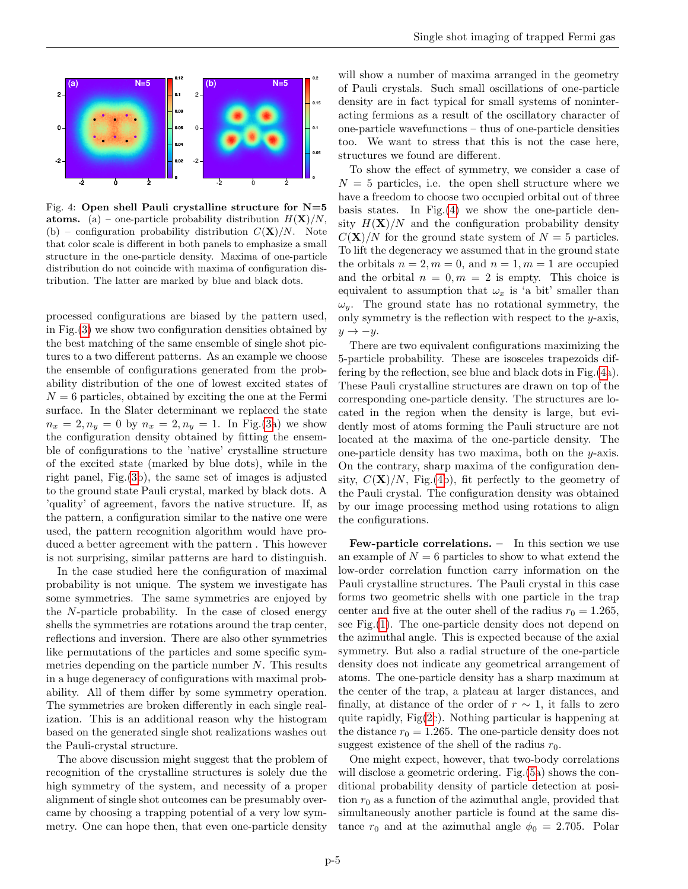

<span id="page-4-0"></span>Fig. 4: Open shell Pauli crystalline structure for  $N=5$ atoms. (a) – one-particle probability distribution  $H(\mathbf{X})/N$ , (b) – configuration probability distribution  $C(\mathbf{X})/N$ . Note that color scale is different in both panels to emphasize a small structure in the one-particle density. Maxima of one-particle distribution do not coincide with maxima of configuration distribution. The latter are marked by blue and black dots.

processed configurations are biased by the pattern used, in Fig.[\(3\)](#page-3-1) we show two configuration densities obtained by the best matching of the same ensemble of single shot pictures to a two different patterns. As an example we choose the ensemble of configurations generated from the probability distribution of the one of lowest excited states of  $N = 6$  particles, obtained by exciting the one at the Fermi surface. In the Slater determinant we replaced the state  $n_x = 2, n_y = 0$  by  $n_x = 2, n_y = 1$ . In Fig.[\(3a](#page-3-1)) we show the configuration density obtained by fitting the ensemble of configurations to the 'native' crystalline structure of the excited state (marked by blue dots), while in the right panel, Fig.[\(3b](#page-3-1)), the same set of images is adjusted to the ground state Pauli crystal, marked by black dots. A 'quality' of agreement, favors the native structure. If, as the pattern, a configuration similar to the native one were used, the pattern recognition algorithm would have produced a better agreement with the pattern . This however is not surprising, similar patterns are hard to distinguish.

In the case studied here the configuration of maximal probability is not unique. The system we investigate has some symmetries. The same symmetries are enjoyed by the N-particle probability. In the case of closed energy shells the symmetries are rotations around the trap center, reflections and inversion. There are also other symmetries like permutations of the particles and some specific symmetries depending on the particle number N. This results in a huge degeneracy of configurations with maximal probability. All of them differ by some symmetry operation. The symmetries are broken differently in each single realization. This is an additional reason why the histogram based on the generated single shot realizations washes out the Pauli-crystal structure.

The above discussion might suggest that the problem of recognition of the crystalline structures is solely due the high symmetry of the system, and necessity of a proper alignment of single shot outcomes can be presumably overcame by choosing a trapping potential of a very low symmetry. One can hope then, that even one-particle density will show a number of maxima arranged in the geometry of Pauli crystals. Such small oscillations of one-particle density are in fact typical for small systems of noninteracting fermions as a result of the oscillatory character of one-particle wavefunctions – thus of one-particle densities too. We want to stress that this is not the case here, structures we found are different.

To show the effect of symmetry, we consider a case of  $N = 5$  particles, i.e. the open shell structure where we have a freedom to choose two occupied orbital out of three basis states. In Fig.[\(4\)](#page-4-0) we show the one-particle density  $H(\mathbf{X})/N$  and the configuration probability density  $C(X)/N$  for the ground state system of  $N=5$  particles. To lift the degeneracy we assumed that in the ground state the orbitals  $n = 2, m = 0$ , and  $n = 1, m = 1$  are occupied and the orbital  $n = 0, m = 2$  is empty. This choice is equivalent to assumption that  $\omega_x$  is 'a bit' smaller than  $\omega_y$ . The ground state has no rotational symmetry, the only symmetry is the reflection with respect to the  $y$ -axis,  $y \rightarrow -y$ .

There are two equivalent configurations maximizing the 5-particle probability. These are isosceles trapezoids differing by the reflection, see blue and black dots in Fig.[\(4a](#page-4-0)). These Pauli crystalline structures are drawn on top of the corresponding one-particle density. The structures are located in the region when the density is large, but evidently most of atoms forming the Pauli structure are not located at the maxima of the one-particle density. The one-particle density has two maxima, both on the  $y$ -axis. On the contrary, sharp maxima of the configuration density,  $C(\mathbf{X})/N$ , Fig.[\(4b](#page-4-0)), fit perfectly to the geometry of the Pauli crystal. The configuration density was obtained by our image processing method using rotations to align the configurations.

Few-particle correlations. – In this section we use an example of  $N = 6$  particles to show to what extend the low-order correlation function carry information on the Pauli crystalline structures. The Pauli crystal in this case forms two geometric shells with one particle in the trap center and five at the outer shell of the radius  $r_0 = 1.265$ , see Fig.[\(1\)](#page-1-0). The one-particle density does not depend on the azimuthal angle. This is expected because of the axial symmetry. But also a radial structure of the one-particle density does not indicate any geometrical arrangement of atoms. The one-particle density has a sharp maximum at the center of the trap, a plateau at larger distances, and finally, at distance of the order of  $r \sim 1$ , it falls to zero quite rapidly, Fig[\(2c](#page-2-1)). Nothing particular is happening at the distance  $r_0 = 1.265$ . The one-particle density does not suggest existence of the shell of the radius  $r_0$ .

One might expect, however, that two-body correlations will disclose a geometric ordering. Fig.[\(5a](#page-5-0)) shows the conditional probability density of particle detection at position  $r_0$  as a function of the azimuthal angle, provided that simultaneously another particle is found at the same distance  $r_0$  and at the azimuthal angle  $\phi_0 = 2.705$ . Polar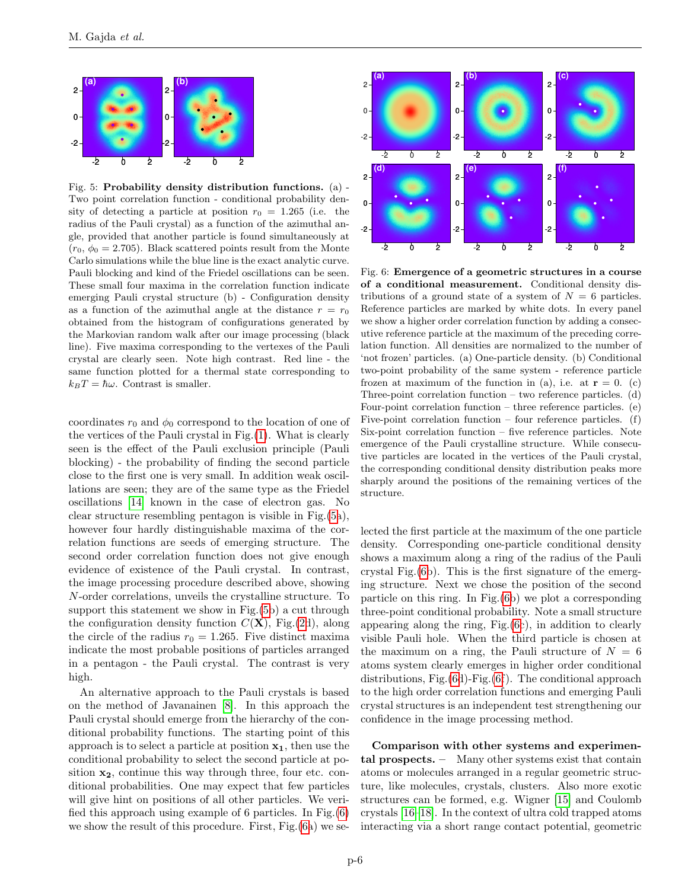

<span id="page-5-0"></span>Fig. 5: Probability density distribution functions. (a) - Two point correlation function - conditional probability density of detecting a particle at position  $r_0 = 1.265$  (i.e. the radius of the Pauli crystal) as a function of the azimuthal angle, provided that another particle is found simultaneously at  $(r_0, \phi_0 = 2.705)$ . Black scattered points result from the Monte Carlo simulations while the blue line is the exact analytic curve. Pauli blocking and kind of the Friedel oscillations can be seen. These small four maxima in the correlation function indicate emerging Pauli crystal structure (b) - Configuration density as a function of the azimuthal angle at the distance  $r = r_0$ obtained from the histogram of configurations generated by the Markovian random walk after our image processing (black line). Five maxima corresponding to the vertexes of the Pauli crystal are clearly seen. Note high contrast. Red line - the same function plotted for a thermal state corresponding to  $k_BT = \hbar\omega$ . Contrast is smaller.

coordinates  $r_0$  and  $\phi_0$  correspond to the location of one of the vertices of the Pauli crystal in Fig.[\(1\)](#page-1-0). What is clearly seen is the effect of the Pauli exclusion principle (Pauli blocking) - the probability of finding the second particle close to the first one is very small. In addition weak oscillations are seen; they are of the same type as the Friedel oscillations [\[14\]](#page-6-8) known in the case of electron gas. No clear structure resembling pentagon is visible in Fig.[\(5a](#page-5-0)), however four hardly distinguishable maxima of the correlation functions are seeds of emerging structure. The second order correlation function does not give enough evidence of existence of the Pauli crystal. In contrast, the image processing procedure described above, showing N-order correlations, unveils the crystalline structure. To support this statement we show in Fig.[\(5b](#page-5-0)) a cut through the configuration density function  $C(\mathbf{X})$ , Fig.[\(2d](#page-2-1)), along the circle of the radius  $r_0 = 1.265$ . Five distinct maxima indicate the most probable positions of particles arranged in a pentagon - the Pauli crystal. The contrast is very high.

An alternative approach to the Pauli crystals is based on the method of Javanainen [\[8\]](#page-6-2). In this approach the Pauli crystal should emerge from the hierarchy of the conditional probability functions. The starting point of this approach is to select a particle at position  $x_1$ , then use the conditional probability to select the second particle at position  $x_2$ , continue this way through three, four etc. conditional probabilities. One may expect that few particles will give hint on positions of all other particles. We verified this approach using example of 6 particles. In Fig.[\(6\)](#page-5-1) we show the result of this procedure. First, Fig.[\(6a](#page-5-1)) we se-



<span id="page-5-1"></span>Fig. 6: Emergence of a geometric structures in a course of a conditional measurement. Conditional density distributions of a ground state of a system of  $N = 6$  particles. Reference particles are marked by white dots. In every panel we show a higher order correlation function by adding a consecutive reference particle at the maximum of the preceding correlation function. All densities are normalized to the number of 'not frozen' particles. (a) One-particle density. (b) Conditional two-point probability of the same system - reference particle frozen at maximum of the function in (a), i.e. at  $\mathbf{r} = 0$ . (c) Three-point correlation function – two reference particles. (d) Four-point correlation function – three reference particles. (e) Five-point correlation function – four reference particles.  $(f)$ Six-point correlation function – five reference particles. Note emergence of the Pauli crystalline structure. While consecutive particles are located in the vertices of the Pauli crystal, the corresponding conditional density distribution peaks more sharply around the positions of the remaining vertices of the structure.

lected the first particle at the maximum of the one particle density. Corresponding one-particle conditional density shows a maximum along a ring of the radius of the Pauli crystal Fig.[\(6b](#page-5-1)). This is the first signature of the emerging structure. Next we chose the position of the second particle on this ring. In Fig.[\(6b](#page-5-1)) we plot a corresponding three-point conditional probability. Note a small structure appearing along the ring, Fig.[\(6c](#page-5-1)), in addition to clearly visible Pauli hole. When the third particle is chosen at the maximum on a ring, the Pauli structure of  $N = 6$ atoms system clearly emerges in higher order conditional distributions, Fig.[\(6d](#page-5-1))-Fig.[\(6f](#page-5-1)). The conditional approach to the high order correlation functions and emerging Pauli crystal structures is an independent test strengthening our confidence in the image processing method.

Comparison with other systems and experimental prospects. – Many other systems exist that contain atoms or molecules arranged in a regular geometric structure, like molecules, crystals, clusters. Also more exotic structures can be formed, e.g. Wigner [\[15\]](#page-6-9) and Coulomb crystals [\[16](#page-6-10)[–18\]](#page-6-11). In the context of ultra cold trapped atoms interacting via a short range contact potential, geometric